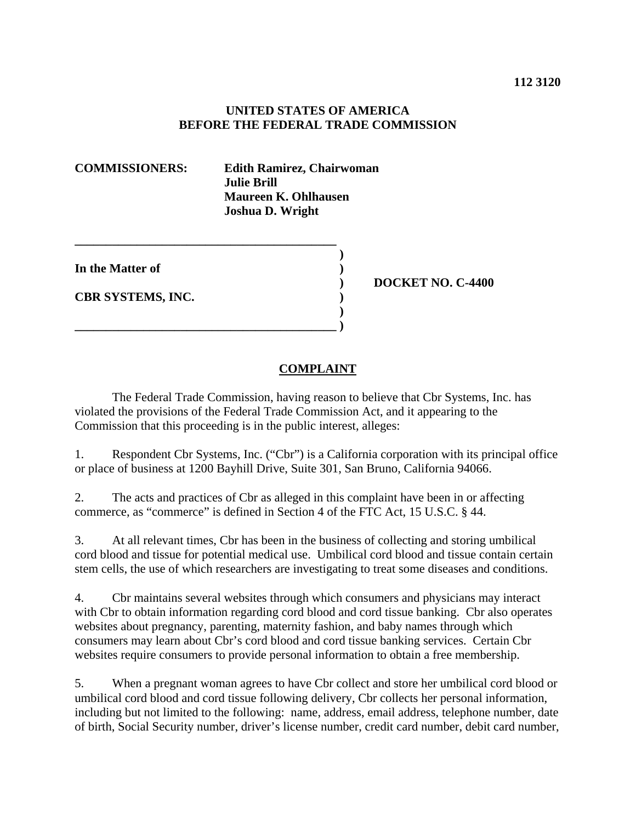## **UNITED STATES OF AMERICA BEFORE THE FEDERAL TRADE COMMISSION**

**COMMISSIONERS: Edith Ramirez, Chairwoman Julie Brill Maureen K. Ohlhausen Joshua D. Wright** 

**In the Matter of )** 

**CBR SYSTEMS, INC. )** 

**\_\_\_\_\_\_\_\_\_\_\_\_\_\_\_\_\_\_\_\_\_\_\_\_\_\_\_\_\_\_\_\_\_\_\_\_\_\_\_\_\_\_ )** 

 **) \_\_\_\_\_\_\_\_\_\_\_\_\_\_\_\_\_\_\_\_\_\_\_\_\_\_\_\_\_\_\_\_\_\_\_\_\_\_\_\_\_\_ )**

 **) DOCKET NO. C-4400** 

## **COMPLAINT**

 The Federal Trade Commission, having reason to believe that Cbr Systems, Inc. has violated the provisions of the Federal Trade Commission Act, and it appearing to the Commission that this proceeding is in the public interest, alleges:

1. Respondent Cbr Systems, Inc. ("Cbr") is a California corporation with its principal office or place of business at 1200 Bayhill Drive, Suite 301, San Bruno, California 94066.

2. The acts and practices of Cbr as alleged in this complaint have been in or affecting commerce, as "commerce" is defined in Section 4 of the FTC Act, 15 U.S.C. § 44.

3. At all relevant times, Cbr has been in the business of collecting and storing umbilical cord blood and tissue for potential medical use. Umbilical cord blood and tissue contain certain stem cells, the use of which researchers are investigating to treat some diseases and conditions.

4. Cbr maintains several websites through which consumers and physicians may interact with Cbr to obtain information regarding cord blood and cord tissue banking. Cbr also operates websites about pregnancy, parenting, maternity fashion, and baby names through which consumers may learn about Cbr's cord blood and cord tissue banking services. Certain Cbr websites require consumers to provide personal information to obtain a free membership.

5. When a pregnant woman agrees to have Cbr collect and store her umbilical cord blood or umbilical cord blood and cord tissue following delivery, Cbr collects her personal information, including but not limited to the following: name, address, email address, telephone number, date of birth, Social Security number, driver's license number, credit card number, debit card number,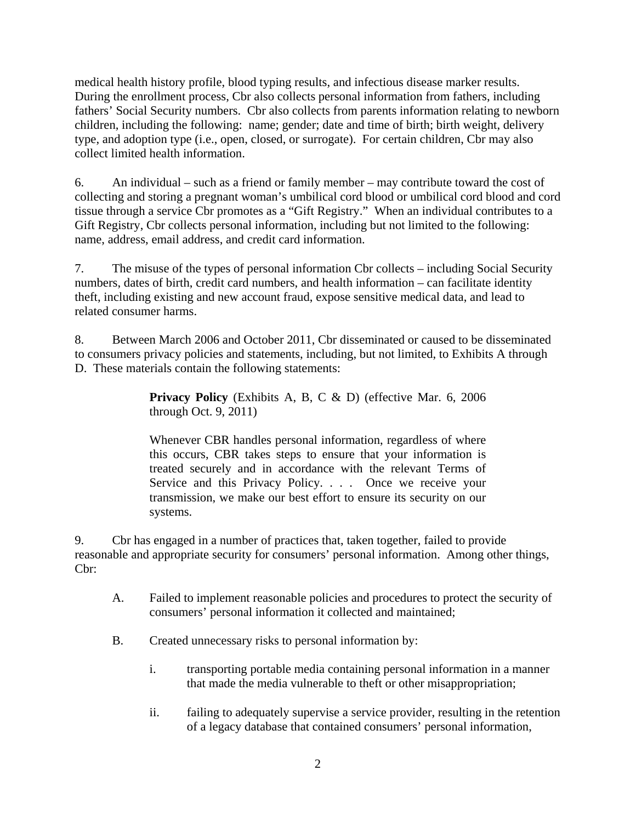medical health history profile, blood typing results, and infectious disease marker results. During the enrollment process, Cbr also collects personal information from fathers, including fathers' Social Security numbers. Cbr also collects from parents information relating to newborn children, including the following: name; gender; date and time of birth; birth weight, delivery type, and adoption type (i.e., open, closed, or surrogate). For certain children, Cbr may also collect limited health information.

6. An individual – such as a friend or family member – may contribute toward the cost of collecting and storing a pregnant woman's umbilical cord blood or umbilical cord blood and cord tissue through a service Cbr promotes as a "Gift Registry." When an individual contributes to a Gift Registry, Cbr collects personal information, including but not limited to the following: name, address, email address, and credit card information.

7. The misuse of the types of personal information Cbr collects – including Social Security numbers, dates of birth, credit card numbers, and health information – can facilitate identity theft, including existing and new account fraud, expose sensitive medical data, and lead to related consumer harms.

8. Between March 2006 and October 2011, Cbr disseminated or caused to be disseminated to consumers privacy policies and statements, including, but not limited, to Exhibits A through D. These materials contain the following statements:

> **Privacy Policy** (Exhibits A, B, C & D) (effective Mar. 6, 2006) through Oct. 9, 2011)

> Whenever CBR handles personal information, regardless of where this occurs, CBR takes steps to ensure that your information is treated securely and in accordance with the relevant Terms of Service and this Privacy Policy. . . . Once we receive your transmission, we make our best effort to ensure its security on our systems.

9. Cbr has engaged in a number of practices that, taken together, failed to provide reasonable and appropriate security for consumers' personal information. Among other things, Cbr:

- A. Failed to implement reasonable policies and procedures to protect the security of consumers' personal information it collected and maintained;
- B. Created unnecessary risks to personal information by:
	- i. transporting portable media containing personal information in a manner that made the media vulnerable to theft or other misappropriation;
	- ii. failing to adequately supervise a service provider, resulting in the retention of a legacy database that contained consumers' personal information,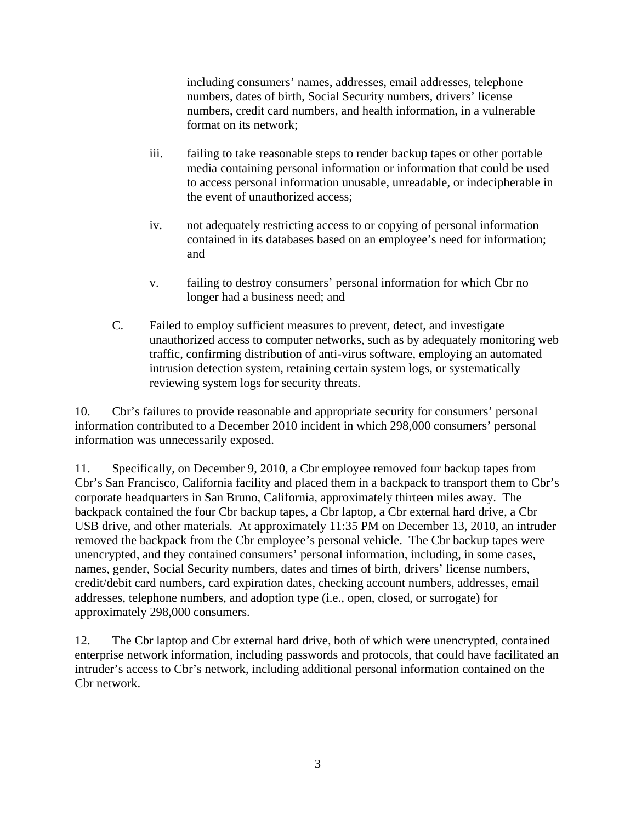including consumers' names, addresses, email addresses, telephone numbers, dates of birth, Social Security numbers, drivers' license numbers, credit card numbers, and health information, in a vulnerable format on its network;

- iii. failing to take reasonable steps to render backup tapes or other portable media containing personal information or information that could be used to access personal information unusable, unreadable, or indecipherable in the event of unauthorized access;
- iv. not adequately restricting access to or copying of personal information contained in its databases based on an employee's need for information; and
- v. failing to destroy consumers' personal information for which Cbr no longer had a business need; and
- C. Failed to employ sufficient measures to prevent, detect, and investigate unauthorized access to computer networks, such as by adequately monitoring web traffic, confirming distribution of anti-virus software, employing an automated intrusion detection system, retaining certain system logs, or systematically reviewing system logs for security threats.

10. Cbr's failures to provide reasonable and appropriate security for consumers' personal information contributed to a December 2010 incident in which 298,000 consumers' personal information was unnecessarily exposed.

11. Specifically, on December 9, 2010, a Cbr employee removed four backup tapes from Cbr's San Francisco, California facility and placed them in a backpack to transport them to Cbr's corporate headquarters in San Bruno, California, approximately thirteen miles away. The backpack contained the four Cbr backup tapes, a Cbr laptop, a Cbr external hard drive, a Cbr USB drive, and other materials. At approximately 11:35 PM on December 13, 2010, an intruder removed the backpack from the Cbr employee's personal vehicle. The Cbr backup tapes were unencrypted, and they contained consumers' personal information, including, in some cases, names, gender, Social Security numbers, dates and times of birth, drivers' license numbers, credit/debit card numbers, card expiration dates, checking account numbers, addresses, email addresses, telephone numbers, and adoption type (i.e., open, closed, or surrogate) for approximately 298,000 consumers.

12. The Cbr laptop and Cbr external hard drive, both of which were unencrypted, contained enterprise network information, including passwords and protocols, that could have facilitated an intruder's access to Cbr's network, including additional personal information contained on the Cbr network.